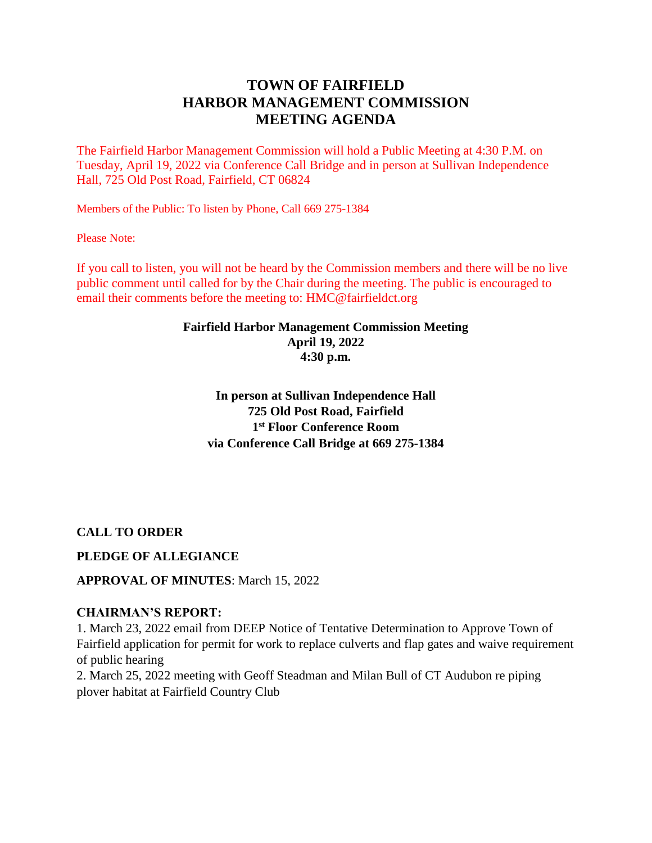# **TOWN OF FAIRFIELD HARBOR MANAGEMENT COMMISSION MEETING AGENDA**

The Fairfield Harbor Management Commission will hold a Public Meeting at 4:30 P.M. on Tuesday, April 19, 2022 via Conference Call Bridge and in person at Sullivan Independence Hall, 725 Old Post Road, Fairfield, CT 06824

Members of the Public: To listen by Phone, Call 669 275-1384

Please Note:

If you call to listen, you will not be heard by the Commission members and there will be no live public comment until called for by the Chair during the meeting. The public is encouraged to email their comments before the meeting to: HMC@fairfieldct.org

### **Fairfield Harbor Management Commission Meeting April 19, 2022 4:30 p.m.**

**In person at Sullivan Independence Hall 725 Old Post Road, Fairfield 1 st Floor Conference Room via Conference Call Bridge at 669 275-1384**

**CALL TO ORDER**

# **PLEDGE OF ALLEGIANCE**

# **APPROVAL OF MINUTES**: March 15, 2022

### **CHAIRMAN'S REPORT:**

1. March 23, 2022 email from DEEP Notice of Tentative Determination to Approve Town of Fairfield application for permit for work to replace culverts and flap gates and waive requirement of public hearing

2. March 25, 2022 meeting with Geoff Steadman and Milan Bull of CT Audubon re piping plover habitat at Fairfield Country Club